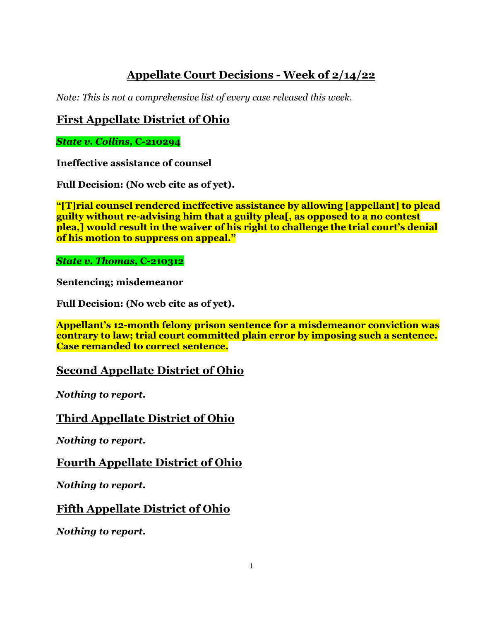# **Appellate Court Decisions - Week of 2/14/22**

*Note: This is not a comprehensive list of every case released this week.*

# **First Appellate District of Ohio**

*State v. Collins,* **C-210294**

**Ineffective assistance of counsel**

**Full Decision: (No web cite as of yet).**

**"[T]rial counsel rendered ineffective assistance by allowing [appellant] to plead guilty without re-advising him that a guilty plea[, as opposed to a no contest plea,] would result in the waiver of his right to challenge the trial court's denial of his motion to suppress on appeal."**

#### *State v. Thomas,* **C-210312**

**Sentencing; misdemeanor**

**Full Decision: (No web cite as of yet).**

**Appellant's 12-month felony prison sentence for a misdemeanor conviction was contrary to law; trial court committed plain error by imposing such a sentence. Case remanded to correct sentence.**

### **Second Appellate District of Ohio**

*Nothing to report.*

## **Third Appellate District of Ohio**

*Nothing to report.*

**Fourth Appellate District of Ohio**

*Nothing to report.*

## **Fifth Appellate District of Ohio**

*Nothing to report.*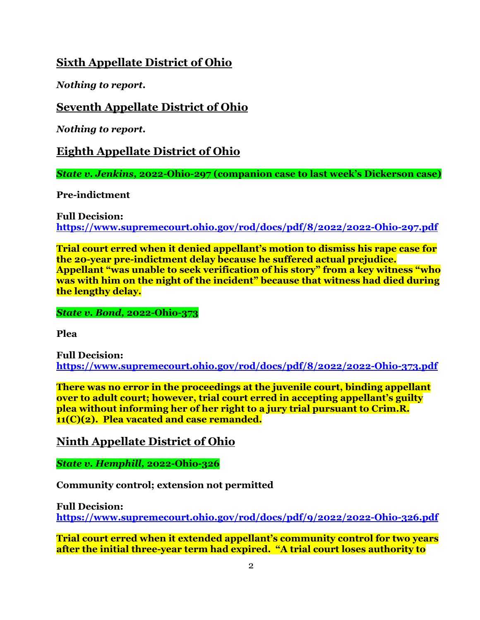## **Sixth Appellate District of Ohio**

*Nothing to report.*

## **Seventh Appellate District of Ohio**

*Nothing to report.*

**Eighth Appellate District of Ohio**

*State v. Jenkins,* **2022-Ohio-297 (companion case to last week's Dickerson case)**

**Pre-indictment**

**Full Decision: <https://www.supremecourt.ohio.gov/rod/docs/pdf/8/2022/2022-Ohio-297.pdf>**

**Trial court erred when it denied appellant's motion to dismiss his rape case for the 20-year pre-indictment delay because he suffered actual prejudice. Appellant "was unable to seek verification of his story" from a key witness "who was with him on the night of the incident" because that witness had died during the lengthy delay.** 

*State v. Bond,* **2022-Ohio-373**

**Plea**

**Full Decision: <https://www.supremecourt.ohio.gov/rod/docs/pdf/8/2022/2022-Ohio-373.pdf>**

**There was no error in the proceedings at the juvenile court, binding appellant over to adult court; however, trial court erred in accepting appellant's guilty plea without informing her of her right to a jury trial pursuant to Crim.R. 11(C)(2). Plea vacated and case remanded.**

**Ninth Appellate District of Ohio**

*State v. Hemphill,* **2022-Ohio-326**

**Community control; extension not permitted**

**Full Decision: <https://www.supremecourt.ohio.gov/rod/docs/pdf/9/2022/2022-Ohio-326.pdf>**

**Trial court erred when it extended appellant's community control for two years after the initial three-year term had expired. "A trial court loses authority to**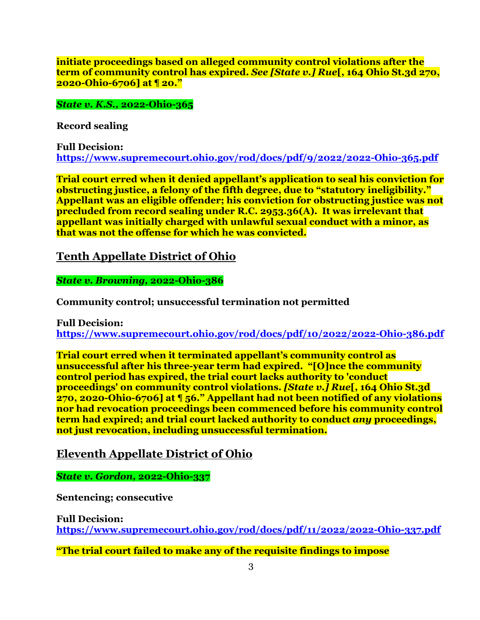**initiate proceedings based on alleged community control violations after the term of community control has expired.** *See [State v.] Rue***[, 164 Ohio St.3d 270, 2020-Ohio-6706] at ¶ 20."**

*State v. K.S.,* **2022-Ohio-365**

**Record sealing**

**Full Decision: <https://www.supremecourt.ohio.gov/rod/docs/pdf/9/2022/2022-Ohio-365.pdf>**

**Trial court erred when it denied appellant's application to seal his conviction for obstructing justice, a felony of the fifth degree, due to "statutory ineligibility." Appellant was an eligible offender; his conviction for obstructing justice was not precluded from record sealing under R.C. 2953.36(A). It was irrelevant that appellant was initially charged with unlawful sexual conduct with a minor, as that was not the offense for which he was convicted.** 

**Tenth Appellate District of Ohio**

*State v. Browning,* **2022-Ohio-386**

**Community control; unsuccessful termination not permitted**

**Full Decision: <https://www.supremecourt.ohio.gov/rod/docs/pdf/10/2022/2022-Ohio-386.pdf>**

**Trial court erred when it terminated appellant's community control as unsuccessful after his three-year term had expired. "[O]nce the community control period has expired, the trial court lacks authority to 'conduct proceedings' on community control violations.** *[State v.] Rue***[, 164 Ohio St.3d 270, 2020-Ohio-6706] at ¶ 56." Appellant had not been notified of any violations nor had revocation proceedings been commenced before his community control term had expired; and trial court lacked authority to conduct** *any* **proceedings, not just revocation, including unsuccessful termination.** 

### **Eleventh Appellate District of Ohio**

*State v. Gordon,* **2022-Ohio-337**

**Sentencing; consecutive**

**Full Decision: <https://www.supremecourt.ohio.gov/rod/docs/pdf/11/2022/2022-Ohio-337.pdf>**

**"The trial court failed to make any of the requisite findings to impose**